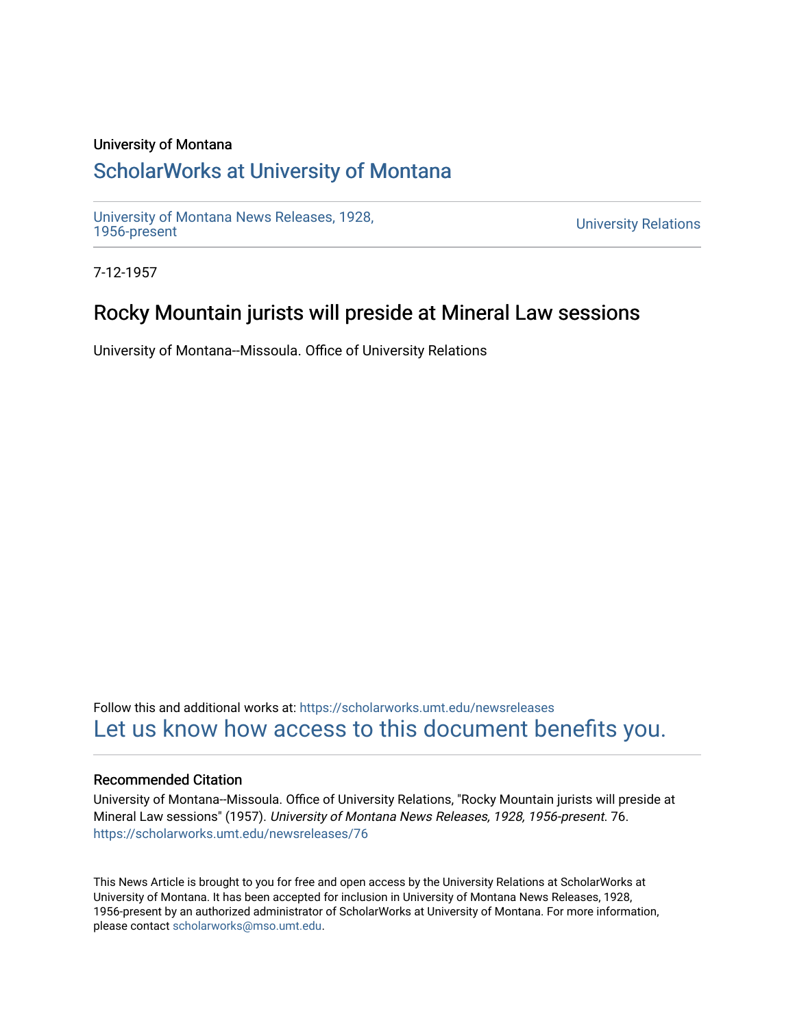### University of Montana

## [ScholarWorks at University of Montana](https://scholarworks.umt.edu/)

[University of Montana News Releases, 1928,](https://scholarworks.umt.edu/newsreleases) 

**University Relations** 

7-12-1957

## Rocky Mountain jurists will preside at Mineral Law sessions

University of Montana--Missoula. Office of University Relations

Follow this and additional works at: [https://scholarworks.umt.edu/newsreleases](https://scholarworks.umt.edu/newsreleases?utm_source=scholarworks.umt.edu%2Fnewsreleases%2F76&utm_medium=PDF&utm_campaign=PDFCoverPages) [Let us know how access to this document benefits you.](https://goo.gl/forms/s2rGfXOLzz71qgsB2) 

#### Recommended Citation

University of Montana--Missoula. Office of University Relations, "Rocky Mountain jurists will preside at Mineral Law sessions" (1957). University of Montana News Releases, 1928, 1956-present. 76. [https://scholarworks.umt.edu/newsreleases/76](https://scholarworks.umt.edu/newsreleases/76?utm_source=scholarworks.umt.edu%2Fnewsreleases%2F76&utm_medium=PDF&utm_campaign=PDFCoverPages) 

This News Article is brought to you for free and open access by the University Relations at ScholarWorks at University of Montana. It has been accepted for inclusion in University of Montana News Releases, 1928, 1956-present by an authorized administrator of ScholarWorks at University of Montana. For more information, please contact [scholarworks@mso.umt.edu.](mailto:scholarworks@mso.umt.edu)